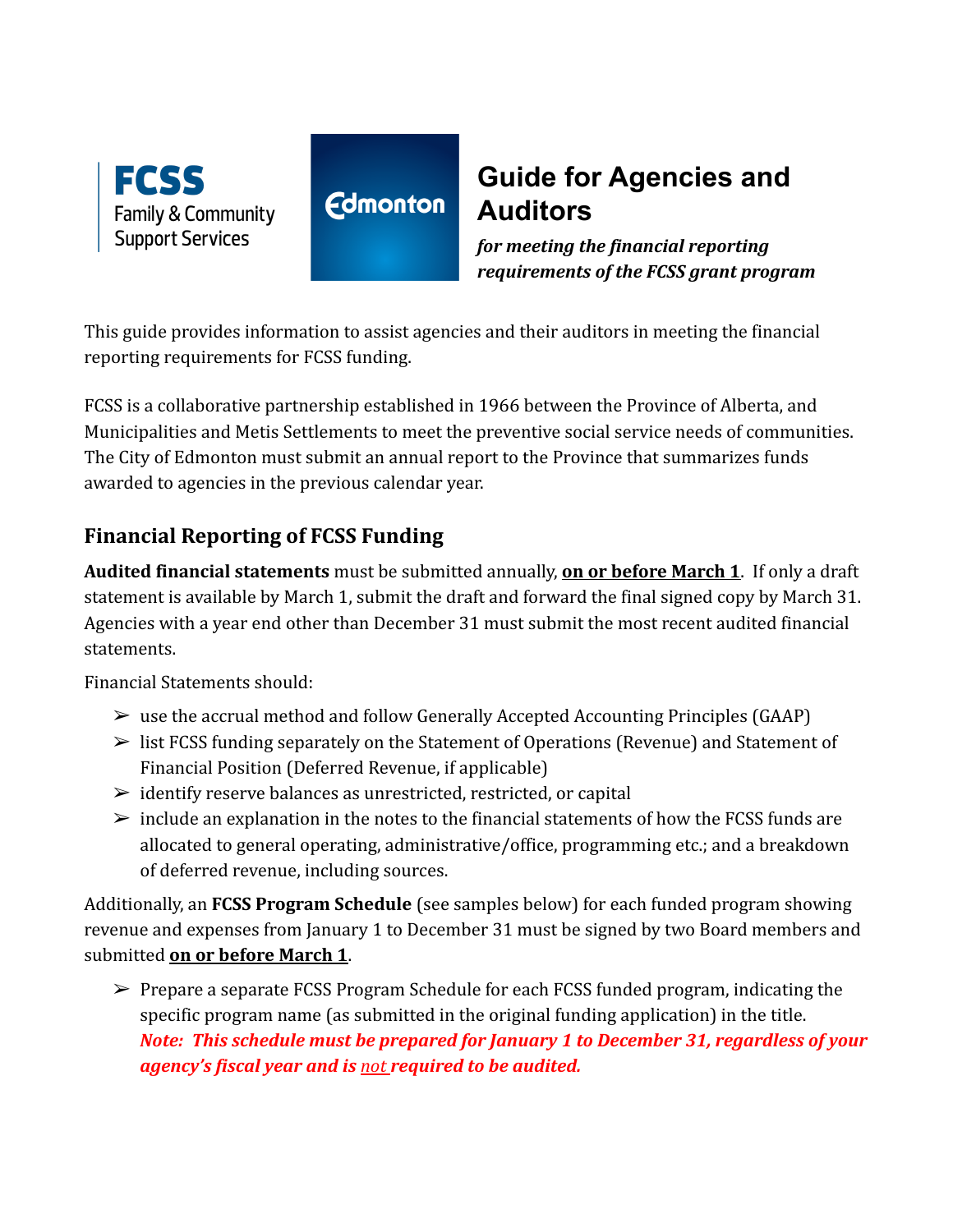

# **Guide for Agencies and Auditors**

*for meeting the financial reporting requirements of the FCSS grant program*

This guide provides information to assist agencies and their auditors in meeting the financial reporting requirements for FCSS funding.

**Edmonton** 

FCSS is a collaborative partnership established in 1966 between the Province of Alberta, and Municipalities and Metis Settlements to meet the preventive social service needs of communities. The City of Edmonton must submit an annual report to the Province that summarizes funds awarded to agencies in the previous calendar year.

# **Financial Reporting of FCSS Funding**

**Audited financial statements** must be submitted annually, **on or before March 1**. If only a draft statement is available by March 1, submit the draft and forward the final signed copy by March 31. Agencies with a year end other than December 31 must submit the most recent audited financial statements.

Financial Statements should:

- $\triangleright$  use the accrual method and follow Generally Accepted Accounting Principles (GAAP)
- $\triangleright$  list FCSS funding separately on the Statement of Operations (Revenue) and Statement of Financial Position (Deferred Revenue, if applicable)
- $\geq$  identify reserve balances as unrestricted, restricted, or capital
- $\triangleright$  include an explanation in the notes to the financial statements of how the FCSS funds are allocated to general operating, administrative/office, programming etc.; and a breakdown of deferred revenue, including sources.

Additionally, an **FCSS Program Schedule** (see samples below) for each funded program showing revenue and expenses from January 1 to December 31 must be signed by two Board members and submitted **on or before March 1**.

 $\triangleright$  Prepare a separate FCSS Program Schedule for each FCSS funded program, indicating the specific program name (as submitted in the original funding application) in the title. *Note: This schedule must be prepared for January 1 to December 31, regardless of your agency's fiscal year and is not required to be audited.*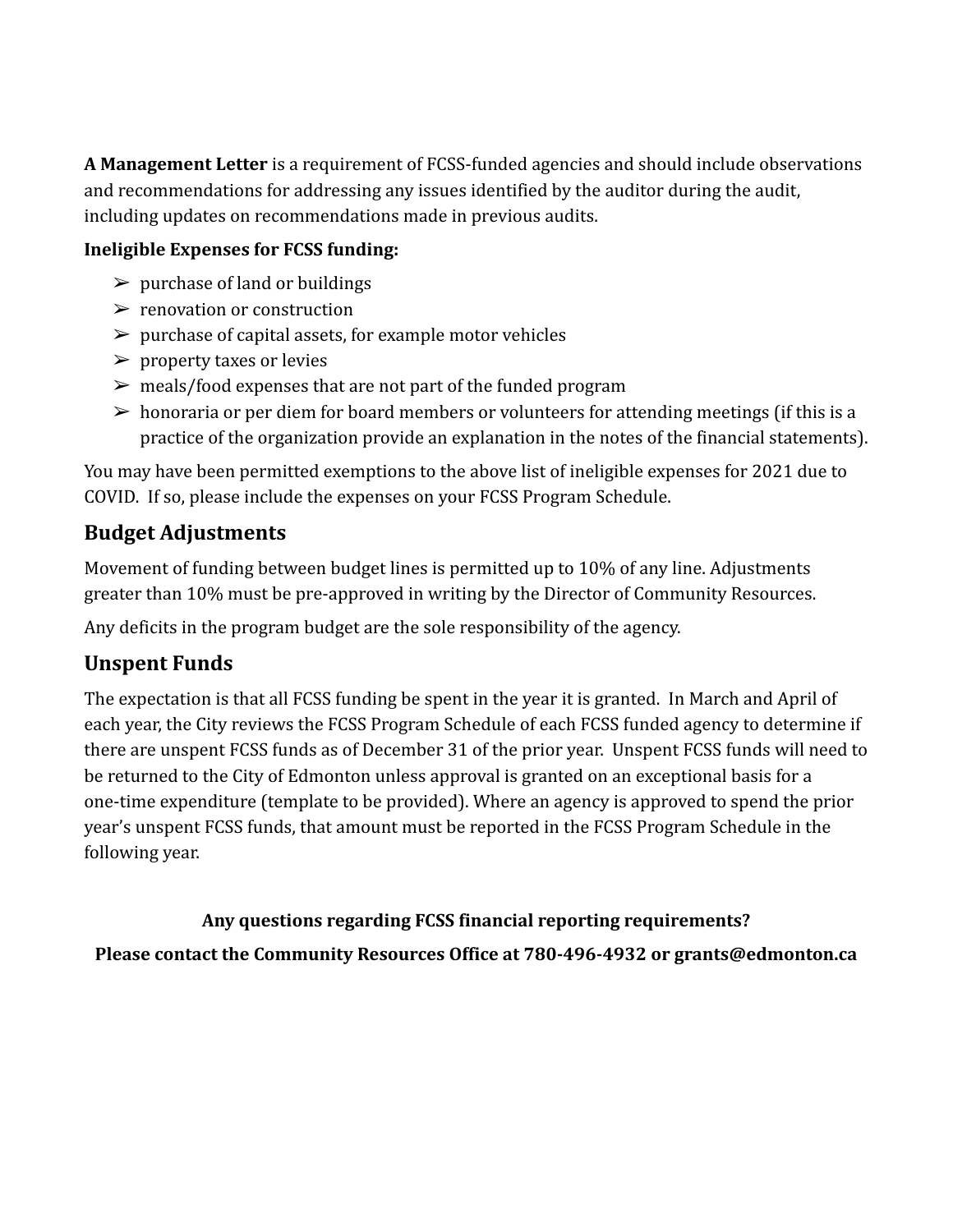**A Management Letter** is a requirement of FCSS-funded agencies and should include observations and recommendations for addressing any issues identified by the auditor during the audit, including updates on recommendations made in previous audits.

### **Ineligible Expenses for FCSS funding:**

- $\triangleright$  purchase of land or buildings
- $\triangleright$  renovation or construction
- $\triangleright$  purchase of capital assets, for example motor vehicles
- $\triangleright$  property taxes or levies
- $\triangleright$  meals/food expenses that are not part of the funded program
- $\geq$  honoraria or per diem for board members or volunteers for attending meetings (if this is a practice of the organization provide an explanation in the notes of the financial statements).

You may have been permitted exemptions to the above list of ineligible expenses for 2021 due to COVID. If so, please include the expenses on your FCSS Program Schedule.

# **Budget Adjustments**

Movement of funding between budget lines is permitted up to 10% of any line. Adjustments greater than 10% must be pre-approved in writing by the Director of Community Resources.

Any deficits in the program budget are the sole responsibility of the agency.

# **Unspent Funds**

The expectation is that all FCSS funding be spent in the year it is granted. In March and April of each year, the City reviews the FCSS Program Schedule of each FCSS funded agency to determine if there are unspent FCSS funds as of December 31 of the prior year. Unspent FCSS funds will need to be returned to the City of Edmonton unless approval is granted on an exceptional basis for a one-time expenditure (template to be provided). Where an agency is approved to spend the prior year's unspent FCSS funds, that amount must be reported in the FCSS Program Schedule in the following year.

## **Any questions regarding FCSS financial reporting requirements?**

**Please contact the Community Resources Office at 780-496-4932 or grants@edmonton.ca**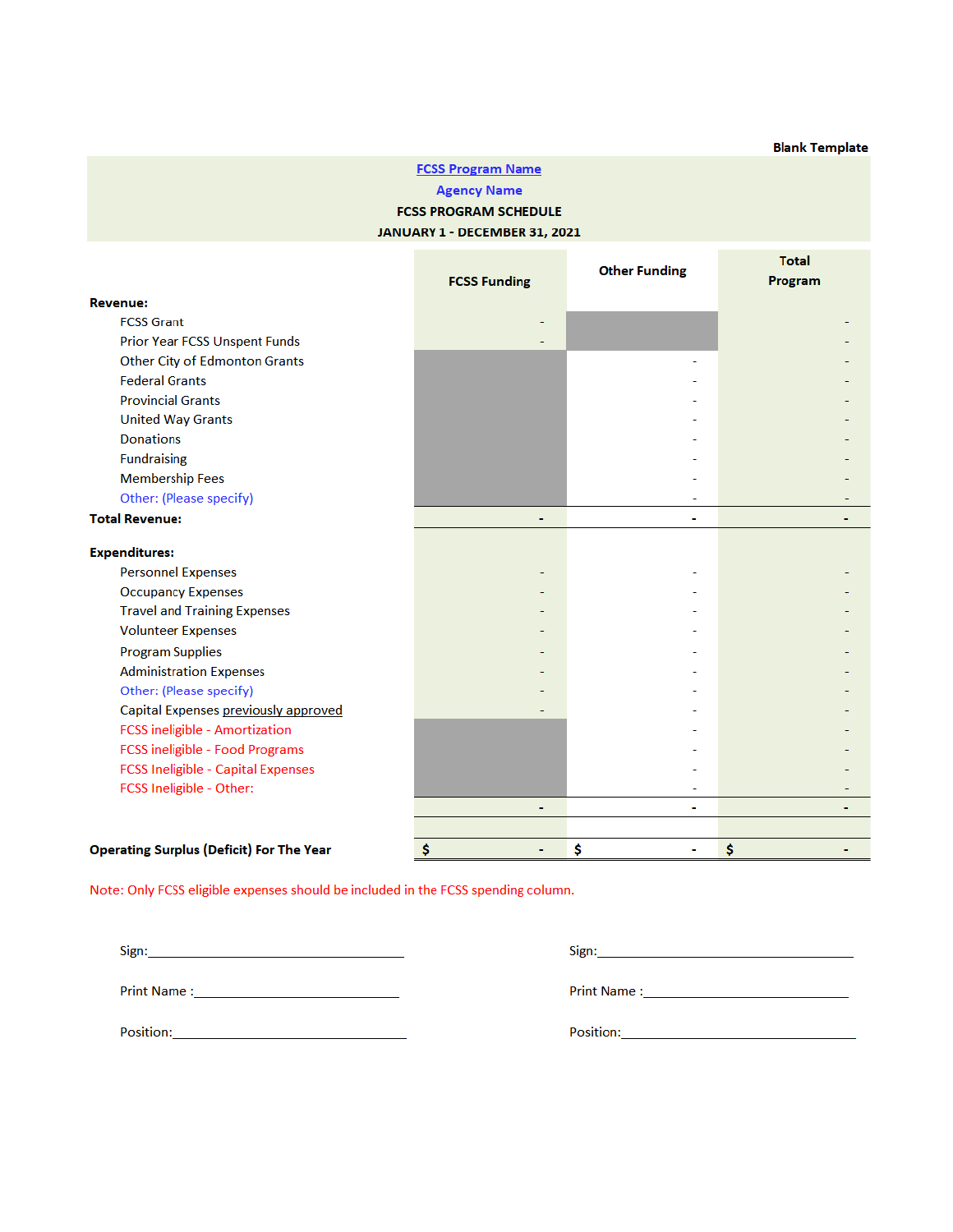#### **FCSS Program Name Agency Name FCSS PROGRAM SCHEDULE** JANUARY 1 - DECEMBER 31, 2021

|                                                 | <b>FCSS Funding</b> | <b>Other Funding</b> | Total<br>Program |
|-------------------------------------------------|---------------------|----------------------|------------------|
| <b>Revenue:</b>                                 |                     |                      |                  |
| <b>FCSS Grant</b>                               |                     |                      |                  |
| <b>Prior Year FCSS Unspent Funds</b>            |                     |                      |                  |
| <b>Other City of Edmonton Grants</b>            |                     |                      |                  |
| <b>Federal Grants</b>                           |                     |                      |                  |
| <b>Provincial Grants</b>                        |                     |                      |                  |
| <b>United Way Grants</b>                        |                     |                      |                  |
| <b>Donations</b>                                |                     |                      |                  |
| <b>Fundraising</b>                              |                     |                      |                  |
| <b>Membership Fees</b>                          |                     |                      |                  |
| Other: (Please specify)                         |                     |                      |                  |
| <b>Total Revenue:</b>                           | ۰                   | ۰                    |                  |
| <b>Expenditures:</b>                            |                     |                      |                  |
| <b>Personnel Expenses</b>                       |                     |                      |                  |
| <b>Occupancy Expenses</b>                       |                     |                      |                  |
| <b>Travel and Training Expenses</b>             |                     |                      |                  |
| <b>Volunteer Expenses</b>                       |                     |                      |                  |
| <b>Program Supplies</b>                         |                     |                      |                  |
| <b>Administration Expenses</b>                  |                     |                      |                  |
| Other: (Please specify)                         |                     |                      |                  |
| Capital Expenses previously approved            |                     |                      |                  |
| <b>FCSS ineligible - Amortization</b>           |                     |                      |                  |
| FCSS ineligible - Food Programs                 |                     |                      |                  |
| <b>FCSS Ineligible - Capital Expenses</b>       |                     |                      |                  |
| FCSS Ineligible - Other:                        |                     |                      |                  |
|                                                 | ۰                   | ٠                    |                  |
|                                                 |                     |                      |                  |
| <b>Operating Surplus (Deficit) For The Year</b> | Ś<br>٠              | \$<br>۰              | \$               |

Note: Only FCSS eligible expenses should be included in the FCSS spending column.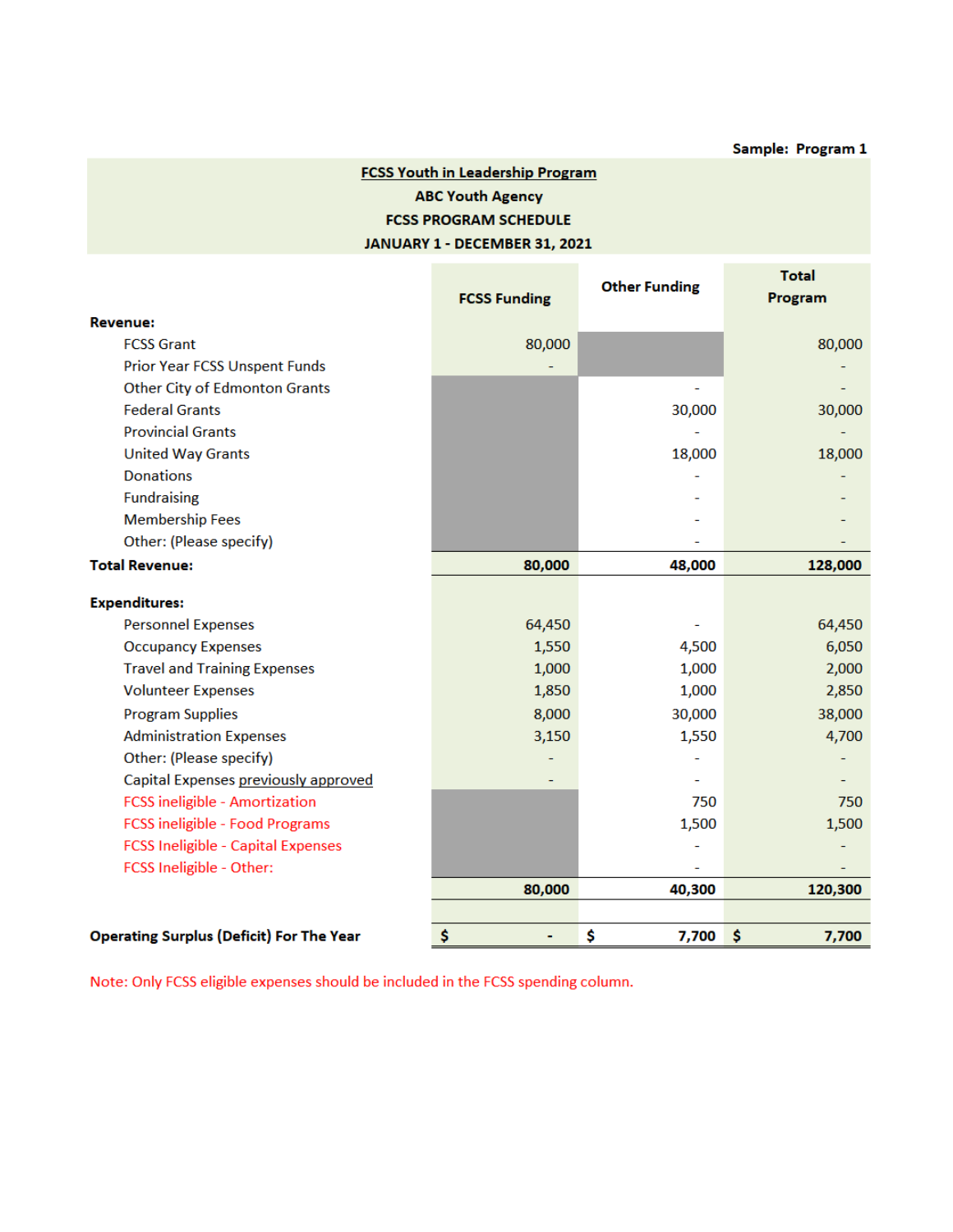#### **FCSS Youth in Leadership Program ABC Youth Agency FCSS PROGRAM SCHEDULE** JANUARY 1 - DECEMBER 31, 2021

|                                                 | <b>FCSS Funding</b> | <b>Other Funding</b> | <b>Total</b><br>Program |
|-------------------------------------------------|---------------------|----------------------|-------------------------|
| <b>Revenue:</b>                                 |                     |                      |                         |
| <b>FCSS Grant</b>                               | 80,000              |                      | 80,000                  |
| <b>Prior Year FCSS Unspent Funds</b>            |                     |                      |                         |
| <b>Other City of Edmonton Grants</b>            |                     |                      |                         |
| <b>Federal Grants</b>                           |                     | 30,000               | 30,000                  |
| <b>Provincial Grants</b>                        |                     |                      |                         |
| <b>United Way Grants</b>                        |                     | 18,000               | 18,000                  |
| <b>Donations</b>                                |                     |                      |                         |
| <b>Fundraising</b>                              |                     |                      |                         |
| <b>Membership Fees</b>                          |                     |                      |                         |
| Other: (Please specify)                         |                     |                      |                         |
| <b>Total Revenue:</b>                           | 80,000              | 48,000               | 128,000                 |
| <b>Expenditures:</b>                            |                     |                      |                         |
| <b>Personnel Expenses</b>                       | 64,450              |                      | 64,450                  |
| <b>Occupancy Expenses</b>                       | 1,550               | 4,500                | 6,050                   |
| <b>Travel and Training Expenses</b>             | 1,000               | 1,000                | 2,000                   |
| <b>Volunteer Expenses</b>                       | 1,850               | 1,000                | 2,850                   |
| <b>Program Supplies</b>                         | 8,000               | 30,000               | 38,000                  |
| <b>Administration Expenses</b>                  | 3,150               | 1,550                | 4,700                   |
| Other: (Please specify)                         |                     |                      |                         |
| Capital Expenses previously approved            |                     |                      |                         |
| <b>FCSS</b> ineligible - Amortization           |                     | 750                  | 750                     |
| <b>FCSS ineligible - Food Programs</b>          |                     | 1,500                | 1,500                   |
| <b>FCSS Ineligible - Capital Expenses</b>       |                     |                      |                         |
| FCSS Ineligible - Other:                        |                     |                      |                         |
|                                                 | 80,000              | 40,300               | 120,300                 |
|                                                 |                     |                      |                         |
| <b>Operating Surplus (Deficit) For The Year</b> | \$<br>٠             | \$<br>7,700          | \$<br>7,700             |

Note: Only FCSS eligible expenses should be included in the FCSS spending column.